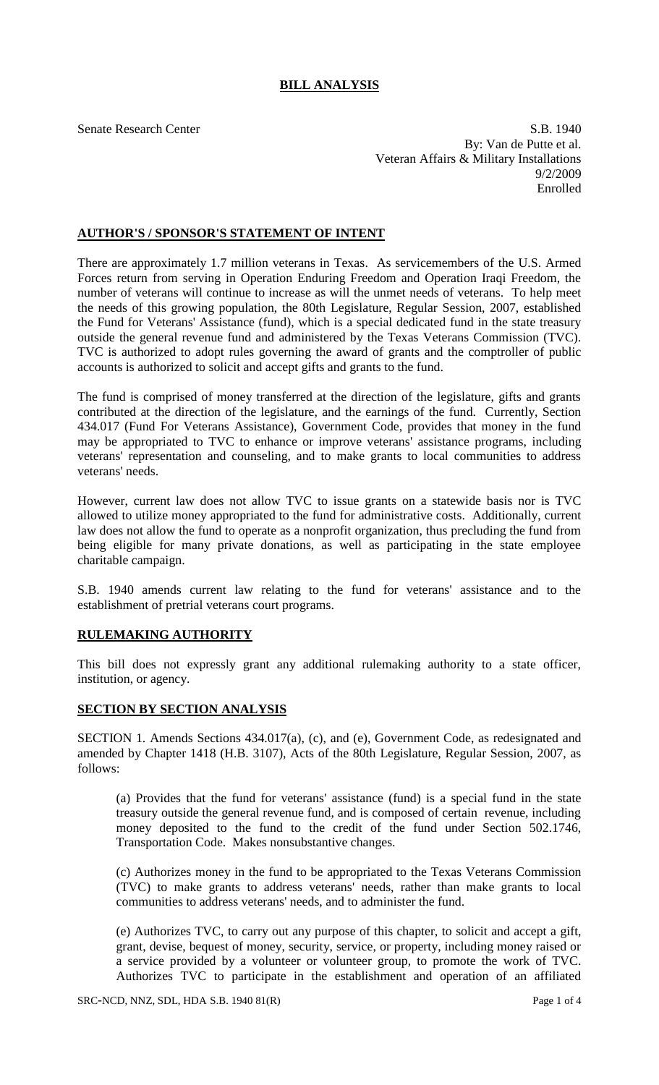## **BILL ANALYSIS**

Senate Research Center S.B. 1940 By: Van de Putte et al. Veteran Affairs & Military Installations 9/2/2009 Enrolled

## **AUTHOR'S / SPONSOR'S STATEMENT OF INTENT**

There are approximately 1.7 million veterans in Texas. As servicemembers of the U.S. Armed Forces return from serving in Operation Enduring Freedom and Operation Iraqi Freedom, the number of veterans will continue to increase as will the unmet needs of veterans. To help meet the needs of this growing population, the 80th Legislature, Regular Session, 2007, established the Fund for Veterans' Assistance (fund), which is a special dedicated fund in the state treasury outside the general revenue fund and administered by the Texas Veterans Commission (TVC). TVC is authorized to adopt rules governing the award of grants and the comptroller of public accounts is authorized to solicit and accept gifts and grants to the fund.

The fund is comprised of money transferred at the direction of the legislature, gifts and grants contributed at the direction of the legislature, and the earnings of the fund. Currently, Section 434.017 (Fund For Veterans Assistance), Government Code, provides that money in the fund may be appropriated to TVC to enhance or improve veterans' assistance programs, including veterans' representation and counseling, and to make grants to local communities to address veterans' needs.

However, current law does not allow TVC to issue grants on a statewide basis nor is TVC allowed to utilize money appropriated to the fund for administrative costs. Additionally, current law does not allow the fund to operate as a nonprofit organization, thus precluding the fund from being eligible for many private donations, as well as participating in the state employee charitable campaign.

S.B. 1940 amends current law relating to the fund for veterans' assistance and to the establishment of pretrial veterans court programs.

## **RULEMAKING AUTHORITY**

This bill does not expressly grant any additional rulemaking authority to a state officer, institution, or agency.

## **SECTION BY SECTION ANALYSIS**

SECTION 1. Amends Sections 434.017(a), (c), and (e), Government Code, as redesignated and amended by Chapter 1418 (H.B. 3107), Acts of the 80th Legislature, Regular Session, 2007, as follows:

(a) Provides that the fund for veterans' assistance (fund) is a special fund in the state treasury outside the general revenue fund, and is composed of certain revenue, including money deposited to the fund to the credit of the fund under Section 502.1746, Transportation Code. Makes nonsubstantive changes.

(c) Authorizes money in the fund to be appropriated to the Texas Veterans Commission (TVC) to make grants to address veterans' needs, rather than make grants to local communities to address veterans' needs, and to administer the fund.

(e) Authorizes TVC, to carry out any purpose of this chapter, to solicit and accept a gift, grant, devise, bequest of money, security, service, or property, including money raised or a service provided by a volunteer or volunteer group, to promote the work of TVC. Authorizes TVC to participate in the establishment and operation of an affiliated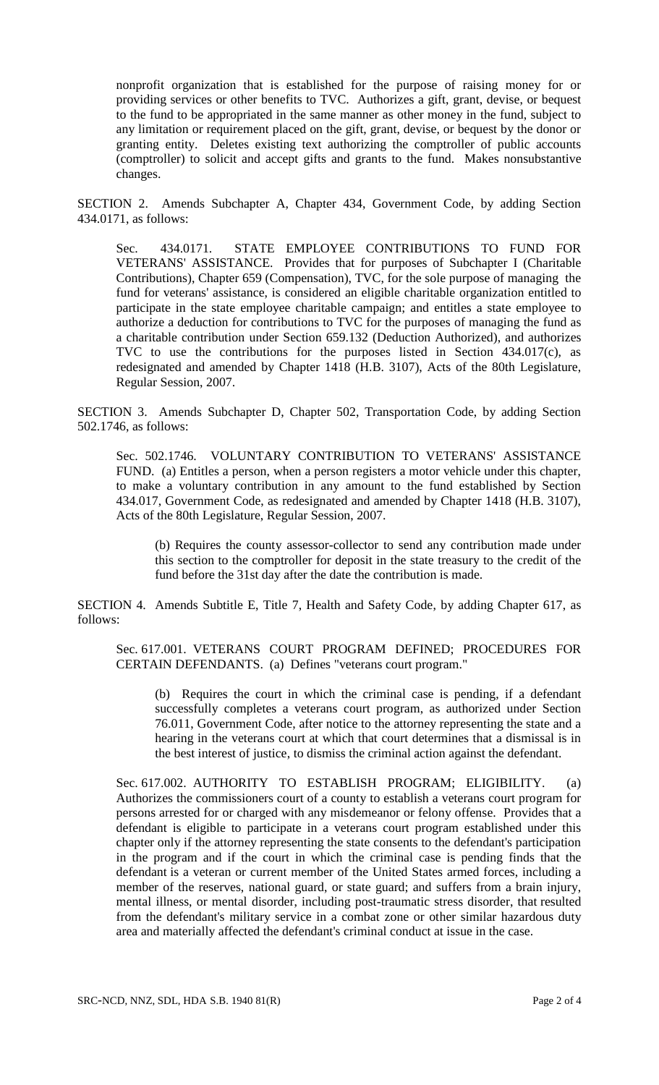nonprofit organization that is established for the purpose of raising money for or providing services or other benefits to TVC. Authorizes a gift, grant, devise, or bequest to the fund to be appropriated in the same manner as other money in the fund, subject to any limitation or requirement placed on the gift, grant, devise, or bequest by the donor or granting entity. Deletes existing text authorizing the comptroller of public accounts (comptroller) to solicit and accept gifts and grants to the fund. Makes nonsubstantive changes.

SECTION 2. Amends Subchapter A, Chapter 434, Government Code, by adding Section 434.0171, as follows:

Sec. 434.0171. STATE EMPLOYEE CONTRIBUTIONS TO FUND FOR VETERANS' ASSISTANCE. Provides that for purposes of Subchapter I (Charitable Contributions), Chapter 659 (Compensation), TVC, for the sole purpose of managing the fund for veterans' assistance, is considered an eligible charitable organization entitled to participate in the state employee charitable campaign; and entitles a state employee to authorize a deduction for contributions to TVC for the purposes of managing the fund as a charitable contribution under Section 659.132 (Deduction Authorized), and authorizes TVC to use the contributions for the purposes listed in Section 434.017(c), as redesignated and amended by Chapter 1418 (H.B. 3107), Acts of the 80th Legislature, Regular Session, 2007.

SECTION 3. Amends Subchapter D, Chapter 502, Transportation Code, by adding Section 502.1746, as follows:

Sec. 502.1746. VOLUNTARY CONTRIBUTION TO VETERANS' ASSISTANCE FUND. (a) Entitles a person, when a person registers a motor vehicle under this chapter, to make a voluntary contribution in any amount to the fund established by Section 434.017, Government Code, as redesignated and amended by Chapter 1418 (H.B. 3107), Acts of the 80th Legislature, Regular Session, 2007.

(b) Requires the county assessor-collector to send any contribution made under this section to the comptroller for deposit in the state treasury to the credit of the fund before the 31st day after the date the contribution is made.

SECTION 4. Amends Subtitle E, Title 7, Health and Safety Code, by adding Chapter 617, as follows:

Sec. 617.001. VETERANS COURT PROGRAM DEFINED; PROCEDURES FOR CERTAIN DEFENDANTS. (a) Defines "veterans court program."

(b) Requires the court in which the criminal case is pending, if a defendant successfully completes a veterans court program, as authorized under Section 76.011, Government Code, after notice to the attorney representing the state and a hearing in the veterans court at which that court determines that a dismissal is in the best interest of justice, to dismiss the criminal action against the defendant.

Sec. 617.002. AUTHORITY TO ESTABLISH PROGRAM; ELIGIBILITY. (a) Authorizes the commissioners court of a county to establish a veterans court program for persons arrested for or charged with any misdemeanor or felony offense. Provides that a defendant is eligible to participate in a veterans court program established under this chapter only if the attorney representing the state consents to the defendant's participation in the program and if the court in which the criminal case is pending finds that the defendant is a veteran or current member of the United States armed forces, including a member of the reserves, national guard, or state guard; and suffers from a brain injury, mental illness, or mental disorder, including post-traumatic stress disorder, that resulted from the defendant's military service in a combat zone or other similar hazardous duty area and materially affected the defendant's criminal conduct at issue in the case.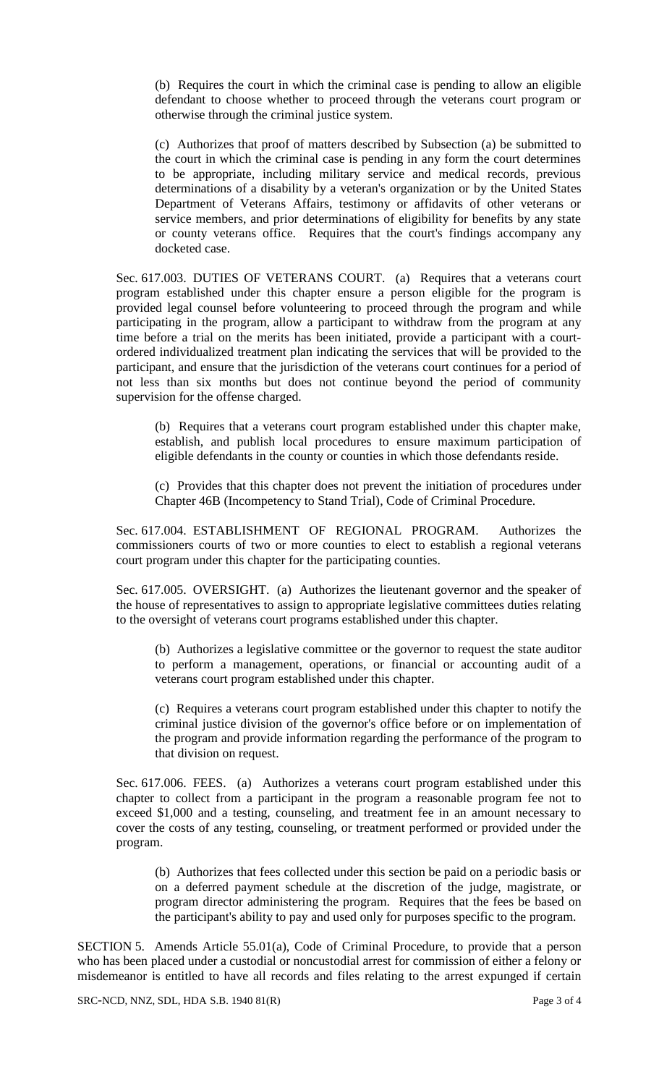(b) Requires the court in which the criminal case is pending to allow an eligible defendant to choose whether to proceed through the veterans court program or otherwise through the criminal justice system.

(c) Authorizes that proof of matters described by Subsection (a) be submitted to the court in which the criminal case is pending in any form the court determines to be appropriate, including military service and medical records, previous determinations of a disability by a veteran's organization or by the United States Department of Veterans Affairs, testimony or affidavits of other veterans or service members, and prior determinations of eligibility for benefits by any state or county veterans office. Requires that the court's findings accompany any docketed case.

Sec. 617.003. DUTIES OF VETERANS COURT. (a) Requires that a veterans court program established under this chapter ensure a person eligible for the program is provided legal counsel before volunteering to proceed through the program and while participating in the program, allow a participant to withdraw from the program at any time before a trial on the merits has been initiated, provide a participant with a courtordered individualized treatment plan indicating the services that will be provided to the participant, and ensure that the jurisdiction of the veterans court continues for a period of not less than six months but does not continue beyond the period of community supervision for the offense charged.

(b) Requires that a veterans court program established under this chapter make, establish, and publish local procedures to ensure maximum participation of eligible defendants in the county or counties in which those defendants reside.

(c) Provides that this chapter does not prevent the initiation of procedures under Chapter 46B (Incompetency to Stand Trial), Code of Criminal Procedure.

Sec. 617.004. ESTABLISHMENT OF REGIONAL PROGRAM. Authorizes the commissioners courts of two or more counties to elect to establish a regional veterans court program under this chapter for the participating counties.

Sec. 617.005. OVERSIGHT. (a) Authorizes the lieutenant governor and the speaker of the house of representatives to assign to appropriate legislative committees duties relating to the oversight of veterans court programs established under this chapter.

(b) Authorizes a legislative committee or the governor to request the state auditor to perform a management, operations, or financial or accounting audit of a veterans court program established under this chapter.

(c) Requires a veterans court program established under this chapter to notify the criminal justice division of the governor's office before or on implementation of the program and provide information regarding the performance of the program to that division on request.

Sec. 617.006. FEES. (a) Authorizes a veterans court program established under this chapter to collect from a participant in the program a reasonable program fee not to exceed \$1,000 and a testing, counseling, and treatment fee in an amount necessary to cover the costs of any testing, counseling, or treatment performed or provided under the program.

(b) Authorizes that fees collected under this section be paid on a periodic basis or on a deferred payment schedule at the discretion of the judge, magistrate, or program director administering the program. Requires that the fees be based on the participant's ability to pay and used only for purposes specific to the program.

SECTION 5. Amends Article 55.01(a), Code of Criminal Procedure, to provide that a person who has been placed under a custodial or noncustodial arrest for commission of either a felony or misdemeanor is entitled to have all records and files relating to the arrest expunged if certain